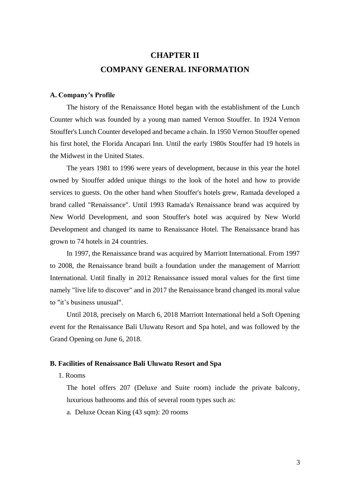# **CHAPTER II COMPANY GENERAL INFORMATION**

#### **A. Company's Profile**

The history of the Renaissance Hotel began with the establishment of the Lunch Counter which was founded by a young man named Vernon Stouffer. In 1924 Vernon Stouffer's Lunch Counter developed and became a chain. In 1950 Vernon Stouffer opened his first hotel, the Florida Ancapari Inn. Until the early 1980s Stouffer had 19 hotels in the Midwest in the United States.

The years 1981 to 1996 were years of development, because in this year the hotel owned by Stouffer added unique things to the look of the hotel and how to provide services to guests. On the other hand when Stouffer's hotels grew, Ramada developed a brand called "Renaissance". Until 1993 Ramada's Renaissance brand was acquired by New World Development, and soon Stouffer's hotel was acquired by New World Development and changed its name to Renaissance Hotel. The Renaissance brand has grown to 74 hotels in 24 countries.

In 1997, the Renaissance brand was acquired by Marriott International. From 1997 to 2008, the Renaissance brand built a foundation under the management of Marriott International. Until finally in 2012 Renaissance issued moral values for the first time namely "live life to discover" and in 2017 the Renaissance brand changed its moral value to "it's business unusual".

Until 2018, precisely on March 6, 2018 Marriott International held a Soft Opening event for the Renaissance Bali Uluwatu Resort and Spa hotel, and was followed by the Grand Opening on June 6, 2018.

#### **B. Facilities of Renaissance Bali Uluwatu Resort and Spa**

1. Rooms

The hotel offers 207 (Deluxe and Suite room) include the private balcony, luxurious bathrooms and this of several room types such as:

a. Deluxe Ocean King (43 sqm): 20 rooms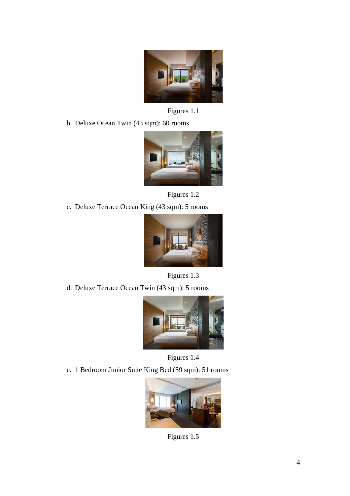

Figures 1.1

b. Deluxe Ocean Twin (43 sqm): 60 rooms



Figures 1.2

c. Deluxe Terrace Ocean King (43 sqm): 5 rooms



Figures 1.3

d. Deluxe Terrace Ocean Twin (43 sqm): 5 rooms



Figures 1.4

e. 1 Bedroom Junior Suite King Bed (59 sqm): 51 rooms



Figures 1.5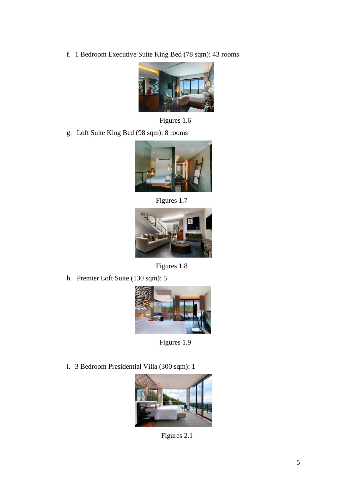f. 1 Bedroom Executive Suite King Bed (78 sqm): 43 rooms



Figures 1.6

g. Loft Suite King Bed (98 sqm): 8 rooms



Figures 1.7



Figures 1.8

h. Premier Loft Suite (130 sqm): 5



Figures 1.9

i. 3 Bedroom Presidential Villa (300 sqm): 1



Figures 2.1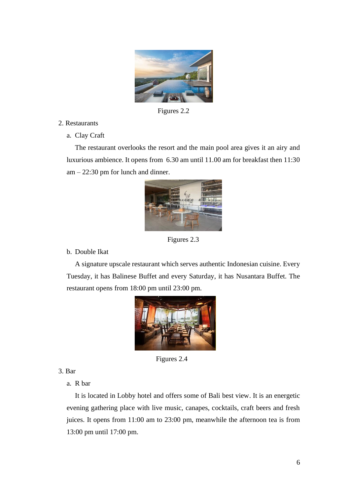

Figures 2.2

- 2. Restaurants
	- a. Clay Craft

The restaurant overlooks the resort and the main pool area gives it an airy and luxurious ambience. It opens from 6.30 am until 11.00 am for breakfast then 11:30  $am - 22:30$  pm for lunch and dinner.



Figures 2.3

b. Double Ikat

A signature upscale restaurant which serves authentic Indonesian cuisine. Every Tuesday, it has Balinese Buffet and every Saturday, it has Nusantara Buffet. The restaurant opens from 18:00 pm until 23:00 pm.



Figures 2.4

3. Bar

a. R bar

It is located in Lobby hotel and offers some of Bali best view. It is an energetic evening gathering place with live music, canapes, cocktails, craft beers and fresh juices. It opens from 11:00 am to 23:00 pm, meanwhile the afternoon tea is from 13:00 pm until 17:00 pm.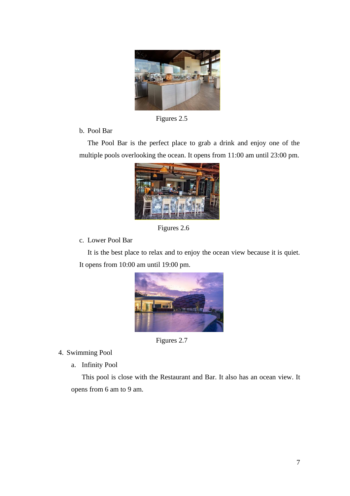

Figures 2.5

b. Pool Bar

The Pool Bar is the perfect place to grab a drink and enjoy one of the multiple pools overlooking the ocean. It opens from 11:00 am until 23:00 pm.



Figures 2.6

c. Lower Pool Bar

It is the best place to relax and to enjoy the ocean view because it is quiet. It opens from 10:00 am until 19:00 pm.



Figures 2.7

4. Swimming Pool

a. Infinity Pool

This pool is close with the Restaurant and Bar. It also has an ocean view. It opens from 6 am to 9 am.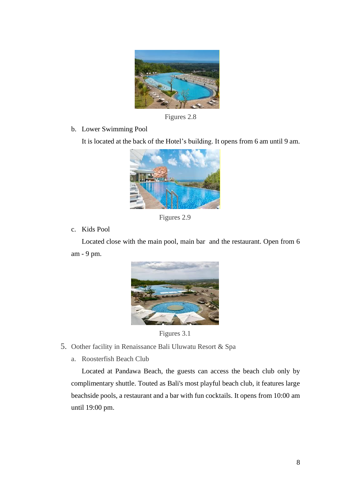

Figures 2.8

b. Lower Swimming Pool

It is located at the back of the Hotel's building. It opens from 6 am until 9 am.



Figures 2.9

c. Kids Pool

Located close with the main pool, main bar and the restaurant. Open from 6 am - 9 pm.



Figures 3.1

- 5. Oother facility in Renaissance Bali Uluwatu Resort & Spa
	- a. Roosterfish Beach Club

Located at Pandawa Beach, the guests can access the beach club only by complimentary shuttle. Touted as Bali's most playful beach club, it features large beachside pools, a restaurant and a bar with fun cocktails. It opens from 10:00 am until 19:00 pm.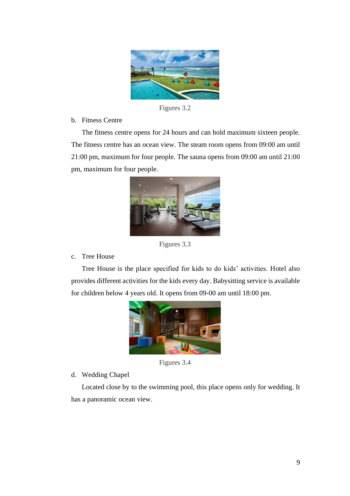

Figures 3.2

## b. Fitness Centre

The fitness centre opens for 24 hours and can hold maximum sixteen people. The fitness centre has an ocean view. The steam room opens from 09:00 am until 21:00 pm, maximum for four people. The sauna opens from 09:00 am until 21:00 pm, maximum for four people.



Figures 3.3

## c. Tree House

Tree House is the place specified for kids to do kids' activities. Hotel also provides different activities for the kids every day. Babysitting service is available for children below 4 years old. It opens from 09-00 am until 18:00 pm.



Figures 3.4

d. Wedding Chapel

Located close by to the swimming pool, this place opens only for wedding. It has a panoramic ocean view.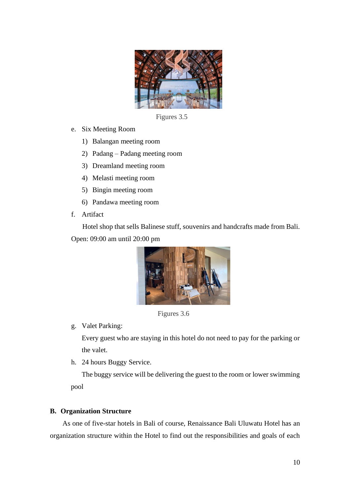

Figures 3.5

- e. Six Meeting Room
	- 1) Balangan meeting room
	- 2) Padang Padang meeting room
	- 3) Dreamland meeting room
	- 4) Melasti meeting room
	- 5) Bingin meeting room
	- 6) Pandawa meeting room
- f. Artifact

Hotel shop that sells Balinese stuff, souvenirs and handcrafts made from Bali. Open: 09:00 am until 20:00 pm



Figures 3.6

g. Valet Parking:

Every guest who are staying in this hotel do not need to pay for the parking or the valet.

h. 24 hours Buggy Service.

The buggy service will be delivering the guest to the room or lower swimming pool

#### **B. Organization Structure**

As one of five-star hotels in Bali of course, Renaissance Bali Uluwatu Hotel has an organization structure within the Hotel to find out the responsibilities and goals of each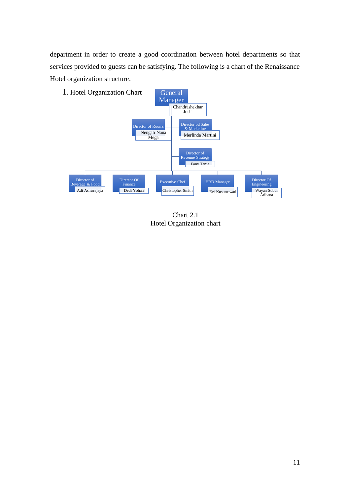department in order to create a good coordination between hotel departments so that services provided to guests can be satisfying. The following is a chart of the Renaissance Hotel organization structure.



Chart 2.1 Hotel Organization chart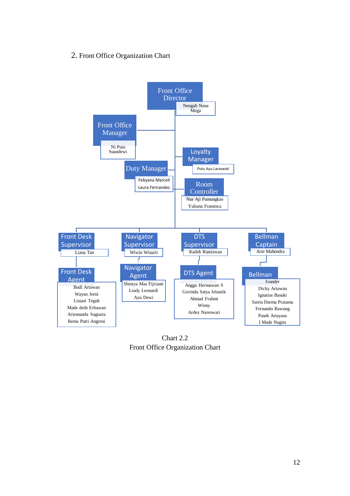## 2. Front Office Organization Chart



Chart 2.2 Front Office Organization Chart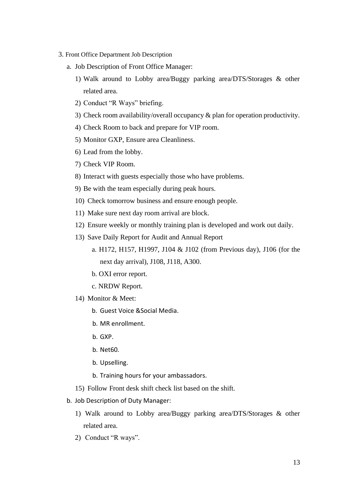- 3. Front Office Department Job Description
	- a. Job Description of Front Office Manager:
		- 1) Walk around to Lobby area/Buggy parking area/DTS/Storages & other related area.
		- 2) Conduct "R Ways" briefing.
		- 3) Check room availability/overall occupancy & plan for operation productivity.
		- 4) Check Room to back and prepare for VIP room.
		- 5) Monitor GXP, Ensure area Cleanliness.
		- 6) Lead from the lobby.
		- 7) Check VIP Room.
		- 8) Interact with guests especially those who have problems.
		- 9) Be with the team especially during peak hours.
		- 10) Check tomorrow business and ensure enough people.
		- 11) Make sure next day room arrival are block.
		- 12) Ensure weekly or monthly training plan is developed and work out daily.
		- 13) Save Daily Report for Audit and Annual Report
			- a. H172, H157, H1997, J104 & J102 (from Previous day), J106 (for the next day arrival), J108, J118, A300.
			- b. OXI error report.
			- c. NRDW Report.
		- 14) Monitor & Meet:
			- b. Guest Voice &Social Media.
			- b. MR enrollment.
			- b. GXP.
			- b. Net60.
			- b. Upselling.
			- b. Training hours for your ambassadors.
		- 15) Follow Front desk shift check list based on the shift.
	- b. Job Description of Duty Manager:
		- 1) Walk around to Lobby area/Buggy parking area/DTS/Storages & other related area.
		- 2) Conduct "R ways".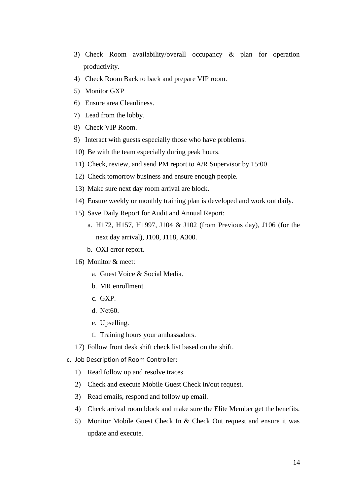- 3) Check Room availability/overall occupancy & plan for operation productivity.
- 4) Check Room Back to back and prepare VIP room.
- 5) Monitor GXP
- 6) Ensure area Cleanliness.
- 7) Lead from the lobby.
- 8) Check VIP Room.
- 9) Interact with guests especially those who have problems.
- 10) Be with the team especially during peak hours.
- 11) Check, review, and send PM report to A/R Supervisor by 15:00
- 12) Check tomorrow business and ensure enough people.
- 13) Make sure next day room arrival are block.
- 14) Ensure weekly or monthly training plan is developed and work out daily.
- 15) Save Daily Report for Audit and Annual Report:
	- a. H172, H157, H1997, J104 & J102 (from Previous day), J106 (for the next day arrival), J108, J118, A300.
	- b. OXI error report.
- 16) Monitor & meet:
	- a. Guest Voice & Social Media.
	- b. MR enrollment.
	- c. GXP.
	- d. Net60.
	- e. Upselling.
	- f. Training hours your ambassadors.
- 17) Follow front desk shift check list based on the shift.
- c. Job Description of Room Controller:
	- 1) Read follow up and resolve traces.
	- 2) Check and execute Mobile Guest Check in/out request.
	- 3) Read emails, respond and follow up email.
	- 4) Check arrival room block and make sure the Elite Member get the benefits.
	- 5) Monitor Mobile Guest Check In & Check Out request and ensure it was update and execute.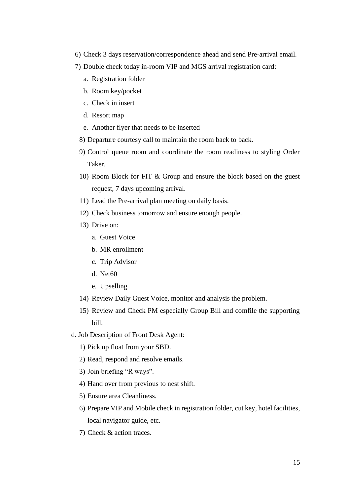- 6) Check 3 days reservation/correspondence ahead and send Pre-arrival email.
- 7) Double check today in-room VIP and MGS arrival registration card:
	- a. Registration folder
	- b. Room key/pocket
	- c. Check in insert
	- d. Resort map
	- e. Another flyer that needs to be inserted
	- 8) Departure courtesy call to maintain the room back to back.
	- 9) Control queue room and coordinate the room readiness to styling Order Taker.
	- 10) Room Block for FIT & Group and ensure the block based on the guest request, 7 days upcoming arrival.
	- 11) Lead the Pre-arrival plan meeting on daily basis.
	- 12) Check business tomorrow and ensure enough people.
	- 13) Drive on:
		- a. Guest Voice
		- b. MR enrollment
		- c. Trip Advisor
		- d. Net60
		- e. Upselling
	- 14) Review Daily Guest Voice, monitor and analysis the problem.
	- 15) Review and Check PM especially Group Bill and comfile the supporting bill.
- d. Job Description of Front Desk Agent:
	- 1) Pick up float from your SBD.
	- 2) Read, respond and resolve emails.
	- 3) Join briefing "R ways".
	- 4) Hand over from previous to nest shift.
	- 5) Ensure area Cleanliness.
	- 6) Prepare VIP and Mobile check in registration folder, cut key, hotel facilities, local navigator guide, etc.
	- 7) Check & action traces.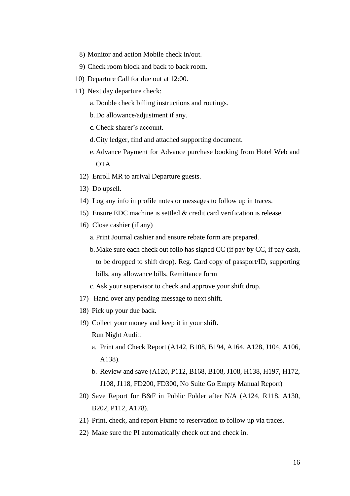- 8) Monitor and action Mobile check in/out.
- 9) Check room block and back to back room.
- 10) Departure Call for due out at 12:00.
- 11) Next day departure check:
	- a. Double check billing instructions and routings.
	- b.Do allowance/adjustment if any.
	- c.Check sharer's account.
	- d.City ledger, find and attached supporting document.
	- e. Advance Payment for Advance purchase booking from Hotel Web and **OTA**
	- 12) Enroll MR to arrival Departure guests.
	- 13) Do upsell.
	- 14) Log any info in profile notes or messages to follow up in traces.
	- 15) Ensure EDC machine is settled & credit card verification is release.
	- 16) Close cashier (if any)
		- a. Print Journal cashier and ensure rebate form are prepared.
		- b.Make sure each check out folio has signed CC (if pay by CC, if pay cash, to be dropped to shift drop). Reg. Card copy of passport/ID, supporting bills, any allowance bills, Remittance form
		- c. Ask your supervisor to check and approve your shift drop.
	- 17) Hand over any pending message to next shift.
	- 18) Pick up your due back.
	- 19) Collect your money and keep it in your shift. Run Night Audit:
		- a. Print and Check Report (A142, B108, B194, A164, A128, J104, A106, A138).
		- b. Review and save (A120, P112, B168, B108, J108, H138, H197, H172, J108, J118, FD200, FD300, No Suite Go Empty Manual Report)
	- 20) Save Report for B&F in Public Folder after N/A (A124, R118, A130, B202, P112, A178).
	- 21) Print, check, and report Fixme to reservation to follow up via traces.
	- 22) Make sure the PI automatically check out and check in.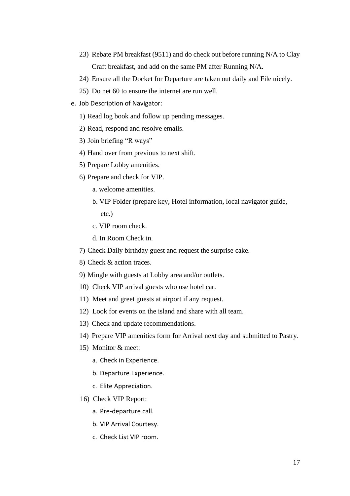- 23) Rebate PM breakfast (9511) and do check out before running N/A to Clay Craft breakfast, and add on the same PM after Running N/A.
- 24) Ensure all the Docket for Departure are taken out daily and File nicely.
- 25) Do net 60 to ensure the internet are run well.
- e. Job Description of Navigator:
	- 1) Read log book and follow up pending messages.
	- 2) Read, respond and resolve emails.
	- 3) Join briefing "R ways"
	- 4) Hand over from previous to next shift.
	- 5) Prepare Lobby amenities.
	- 6) Prepare and check for VIP.
		- a. welcome amenities.
		- b. VIP Folder (prepare key, Hotel information, local navigator guide, etc.)
		- c. VIP room check.
		- d. In Room Check in.
	- 7) Check Daily birthday guest and request the surprise cake.
	- 8) Check & action traces.
	- 9) Mingle with guests at Lobby area and/or outlets.
	- 10) Check VIP arrival guests who use hotel car.
	- 11) Meet and greet guests at airport if any request.
	- 12) Look for events on the island and share with all team.
	- 13) Check and update recommendations.
	- 14) Prepare VIP amenities form for Arrival next day and submitted to Pastry.
	- 15) Monitor & meet:
		- a. Check in Experience.
		- b. Departure Experience.
		- c. Elite Appreciation.
	- 16) Check VIP Report:
		- a. Pre-departure call.
		- b. VIP Arrival Courtesy.
		- c. Check List VIP room.